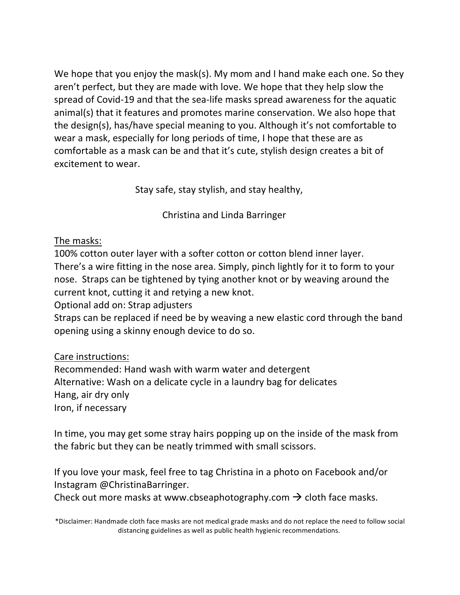We hope that you enjoy the mask(s). My mom and I hand make each one. So they aren't perfect, but they are made with love. We hope that they help slow the spread of Covid-19 and that the sea-life masks spread awareness for the aquatic animal(s) that it features and promotes marine conservation. We also hope that the design(s), has/have special meaning to you. Although it's not comfortable to wear a mask, especially for long periods of time, I hope that these are as comfortable as a mask can be and that it's cute, stylish design creates a bit of excitement to wear.

Stay safe, stay stylish, and stay healthy,

Christina and Linda Barringer

## The masks:

100% cotton outer layer with a softer cotton or cotton blend inner layer. There's a wire fitting in the nose area. Simply, pinch lightly for it to form to your nose. Straps can be tightened by tying another knot or by weaving around the current knot, cutting it and retying a new knot.

Optional add on: Strap adjusters

Straps can be replaced if need be by weaving a new elastic cord through the band opening using a skinny enough device to do so.

## Care instructions:

Recommended: Hand wash with warm water and detergent Alternative: Wash on a delicate cycle in a laundry bag for delicates Hang, air dry only Iron, if necessary

In time, you may get some stray hairs popping up on the inside of the mask from the fabric but they can be neatly trimmed with small scissors.

If you love your mask, feel free to tag Christina in a photo on Facebook and/or Instagram @ChristinaBarringer. 

Check out more masks at www.cbseaphotography.com  $\rightarrow$  cloth face masks.

\*Disclaimer: Handmade cloth face masks are not medical grade masks and do not replace the need to follow social distancing guidelines as well as public health hygienic recommendations.